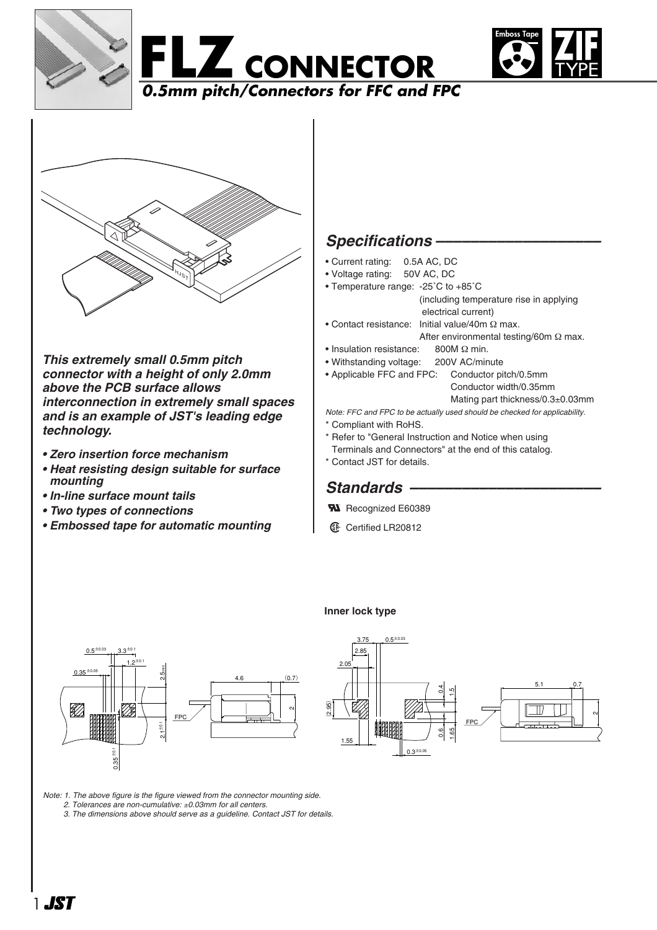







*This extremely small 0.5mm pitch connector with a height of only 2.0mm above the PCB surface allows interconnection in extremely small spaces and is an example of JST's leading edge technology.*

- *Zero insertion force mechanism*
- *Heat resisting design suitable for surface mounting*
- *In-line surface mount tails*
- *Two types of connections*
- *Embossed tape for automatic mounting*

## *Specifications –––––––––––––––––––*

- Current rating: 0.5A AC, DC
- Voltage rating: 50V AC, DC
- Temperature range: -25˚C to +85˚C (including temperature rise in applying electrical current)
- Contact resistance: Initial value/40m Ω max.
	- After environmental testing/60m Ω max.
- Insulation resistance: 800M Ω min.
- Withstanding voltage: 200V AC/minute • Applicable FFC and FPC: Conductor pitch/0.5mm Conductor width/0.35mm

Mating part thickness/0.3±0.03mm

*Note: FFC and FPC to be actually used should be checked for applicability.* \* Compliant with RoHS.

- \* Refer to "General Instruction and Notice when using
- Terminals and Connectors" at the end of this catalog. \* Contact JST for details.

## *Standards ––––––––––––––––––––––*

- **W** Recognized E60389
- $\mathbb{G}$  Certified LR20812



#### **Inner lock type**



*Note: 1. The above figure is the figure viewed from the connector mounting side. 2. Tolerances are non-cumulative:* ±*0.03mm for all centers.*

*3. The dimensions above should serve as a guideline. Contact JST for details.*